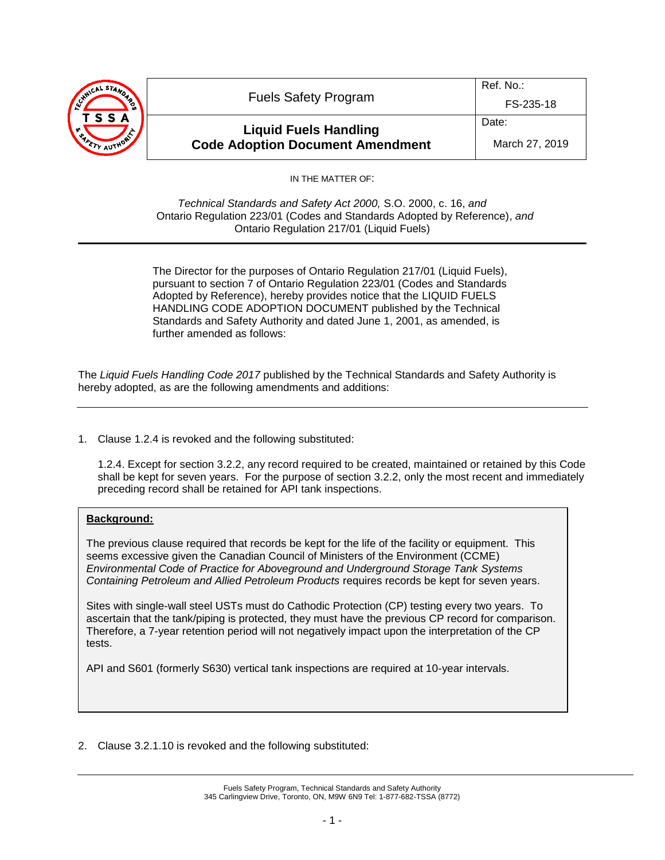| WICAL STAND<br>TSSA | <b>Fuels Safety Program</b>                                             | Ref. No.:<br>FS-235-18  |
|---------------------|-------------------------------------------------------------------------|-------------------------|
|                     | <b>Liquid Fuels Handling</b><br><b>Code Adoption Document Amendment</b> | Date:<br>March 27, 2019 |

IN THE MATTER OF:

*Technical Standards and Safety Act 2000,* S.O. 2000, c. 16, *and* Ontario Regulation 223/01 (Codes and Standards Adopted by Reference), *and* Ontario Regulation 217/01 (Liquid Fuels)

The Director for the purposes of Ontario Regulation 217/01 (Liquid Fuels), pursuant to section 7 of Ontario Regulation 223/01 (Codes and Standards Adopted by Reference), hereby provides notice that the LIQUID FUELS HANDLING CODE ADOPTION DOCUMENT published by the Technical Standards and Safety Authority and dated June 1, 2001, as amended, is further amended as follows:

The *Liquid Fuels Handling Code 2017* published by the Technical Standards and Safety Authority is hereby adopted, as are the following amendments and additions:

1. Clause 1.2.4 is revoked and the following substituted:

1.2.4. Except for section 3.2.2, any record required to be created, maintained or retained by this Code shall be kept for seven years. For the purpose of section 3.2.2, only the most recent and immediately preceding record shall be retained for API tank inspections.

# **Background:**

The previous clause required that records be kept for the life of the facility or equipment. This seems excessive given the Canadian Council of Ministers of the Environment (CCME) *Environmental Code of Practice for Aboveground and Underground Storage Tank Systems Containing Petroleum and Allied Petroleum Products* requires records be kept for seven years.

Sites with single-wall steel USTs must do Cathodic Protection (CP) testing every two years. To ascertain that the tank/piping is protected, they must have the previous CP record for comparison. Therefore, a 7-year retention period will not negatively impact upon the interpretation of the CP tests.

API and S601 (formerly S630) vertical tank inspections are required at 10-year intervals.

2. Clause 3.2.1.10 is revoked and the following substituted: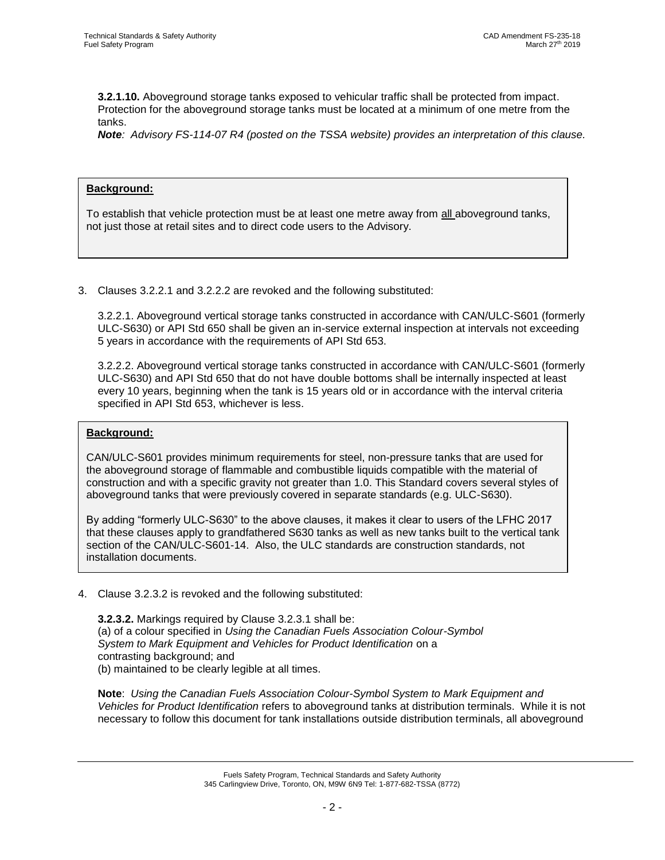**3.2.1.10.** Aboveground storage tanks exposed to vehicular traffic shall be protected from impact. Protection for the aboveground storage tanks must be located at a minimum of one metre from the tanks.

*Note: Advisory FS-114-07 R4 (posted on the TSSA website) provides an interpretation of this clause.*

# **Background:**

To establish that vehicle protection must be at least one metre away from all aboveground tanks, not just those at retail sites and to direct code users to the Advisory.

3. Clauses 3.2.2.1 and 3.2.2.2 are revoked and the following substituted:

3.2.2.1. Aboveground vertical storage tanks constructed in accordance with CAN/ULC-S601 (formerly ULC-S630) or API Std 650 shall be given an in-service external inspection at intervals not exceeding 5 years in accordance with the requirements of API Std 653.

3.2.2.2. Aboveground vertical storage tanks constructed in accordance with CAN/ULC-S601 (formerly ULC-S630) and API Std 650 that do not have double bottoms shall be internally inspected at least every 10 years, beginning when the tank is 15 years old or in accordance with the interval criteria specified in API Std 653, whichever is less.

# **Background:**

CAN/ULC-S601 provides minimum requirements for steel, non-pressure tanks that are used for the aboveground storage of flammable and combustible liquids compatible with the material of construction and with a specific gravity not greater than 1.0. This Standard covers several styles of aboveground tanks that were previously covered in separate standards (e.g. ULC-S630).

By adding "formerly ULC-S630" to the above clauses, it makes it clear to users of the LFHC 2017 that these clauses apply to grandfathered S630 tanks as well as new tanks built to the vertical tank section of the CAN/ULC-S601-14. Also, the ULC standards are construction standards, not installation documents.

4. Clause 3.2.3.2 is revoked and the following substituted:

**3.2.3.2.** Markings required by Clause 3.2.3.1 shall be: (a) of a colour specified in *Using the Canadian Fuels Association Colour-Symbol System to Mark Equipment and Vehicles for Product Identification* on a contrasting background; and (b) maintained to be clearly legible at all times.

**Note**: *Using the Canadian Fuels Association Colour-Symbol System to Mark Equipment and Vehicles for Product Identification* refers to aboveground tanks at distribution terminals. While it is not necessary to follow this document for tank installations outside distribution terminals, all aboveground

> Fuels Safety Program, Technical Standards and Safety Authority 345 Carlingview Drive, Toronto, ON, M9W 6N9 Tel: 1-877-682-TSSA (8772)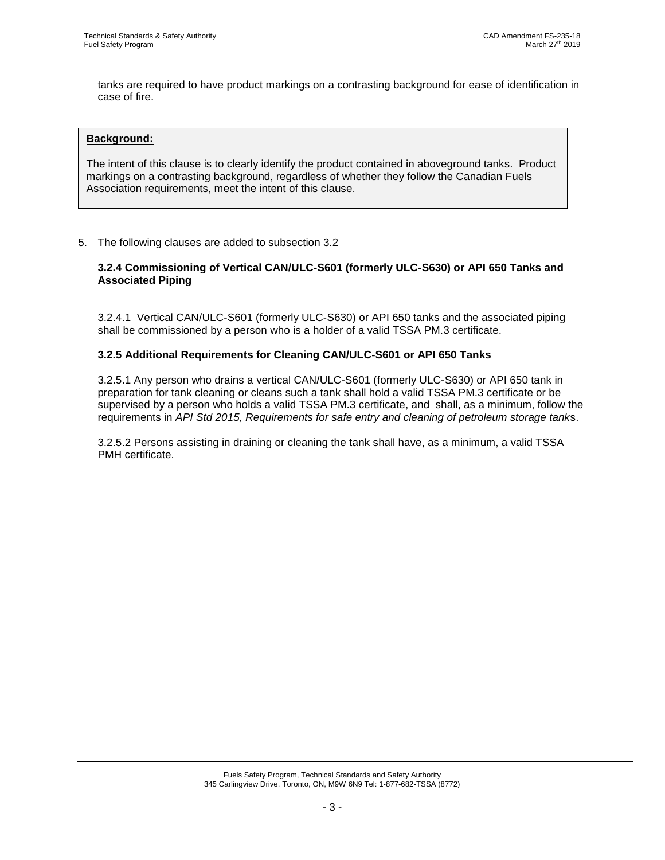tanks are required to have product markings on a contrasting background for ease of identification in case of fire.

### **Background:**

The intent of this clause is to clearly identify the product contained in aboveground tanks. Product markings on a contrasting background, regardless of whether they follow the Canadian Fuels Association requirements, meet the intent of this clause.

# 5. The following clauses are added to subsection 3.2

# **3.2.4 Commissioning of Vertical CAN/ULC-S601 (formerly ULC-S630) or API 650 Tanks and Associated Piping**

3.2.4.1 Vertical CAN/ULC-S601 (formerly ULC-S630) or API 650 tanks and the associated piping shall be commissioned by a person who is a holder of a valid TSSA PM.3 certificate.

# **3.2.5 Additional Requirements for Cleaning CAN/ULC-S601 or API 650 Tanks**

3.2.5.1 Any person who drains a vertical CAN/ULC-S601 (formerly ULC-S630) or API 650 tank in preparation for tank cleaning or cleans such a tank shall hold a valid TSSA PM.3 certificate or be supervised by a person who holds a valid TSSA PM.3 certificate, and shall, as a minimum, follow the requirements in *API Std 2015, Requirements for safe entry and cleaning of petroleum storage tank*s.

3.2.5.2 Persons assisting in draining or cleaning the tank shall have, as a minimum, a valid TSSA PMH certificate.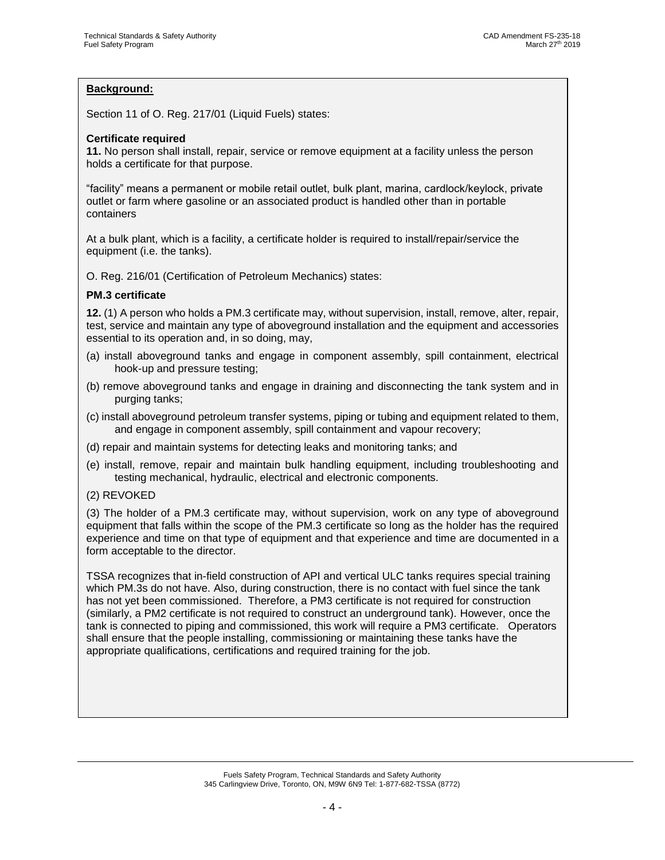# **Background:**

Section 11 of O. Reg. 217/01 (Liquid Fuels) states:

# **Certificate required**

**11.** No person shall install, repair, service or remove equipment at a facility unless the person holds a certificate for that purpose.

"facility" means a permanent or mobile retail outlet, bulk plant, marina, cardlock/keylock, private outlet or farm where gasoline or an associated product is handled other than in portable containers

At a bulk plant, which is a facility, a certificate holder is required to install/repair/service the equipment (i.e. the tanks).

O. Reg. 216/01 (Certification of Petroleum Mechanics) states:

#### **PM.3 certificate**

**12.** (1) A person who holds a PM.3 certificate may, without supervision, install, remove, alter, repair, test, service and maintain any type of aboveground installation and the equipment and accessories essential to its operation and, in so doing, may,

- (a) install aboveground tanks and engage in component assembly, spill containment, electrical hook-up and pressure testing;
- (b) remove aboveground tanks and engage in draining and disconnecting the tank system and in purging tanks;
- (c) install aboveground petroleum transfer systems, piping or tubing and equipment related to them, and engage in component assembly, spill containment and vapour recovery;
- (d) repair and maintain systems for detecting leaks and monitoring tanks; and
- (e) install, remove, repair and maintain bulk handling equipment, including troubleshooting and testing mechanical, hydraulic, electrical and electronic components.
- (2) REVOKED

(3) The holder of a PM.3 certificate may, without supervision, work on any type of aboveground equipment that falls within the scope of the PM.3 certificate so long as the holder has the required experience and time on that type of equipment and that experience and time are documented in a form acceptable to the director.

TSSA recognizes that in-field construction of API and vertical ULC tanks requires special training which PM.3s do not have. Also, during construction, there is no contact with fuel since the tank has not yet been commissioned. Therefore, a PM3 certificate is not required for construction (similarly, a PM2 certificate is not required to construct an underground tank). However, once the tank is connected to piping and commissioned, this work will require a PM3 certificate. Operators shall ensure that the people installing, commissioning or maintaining these tanks have the appropriate qualifications, certifications and required training for the job.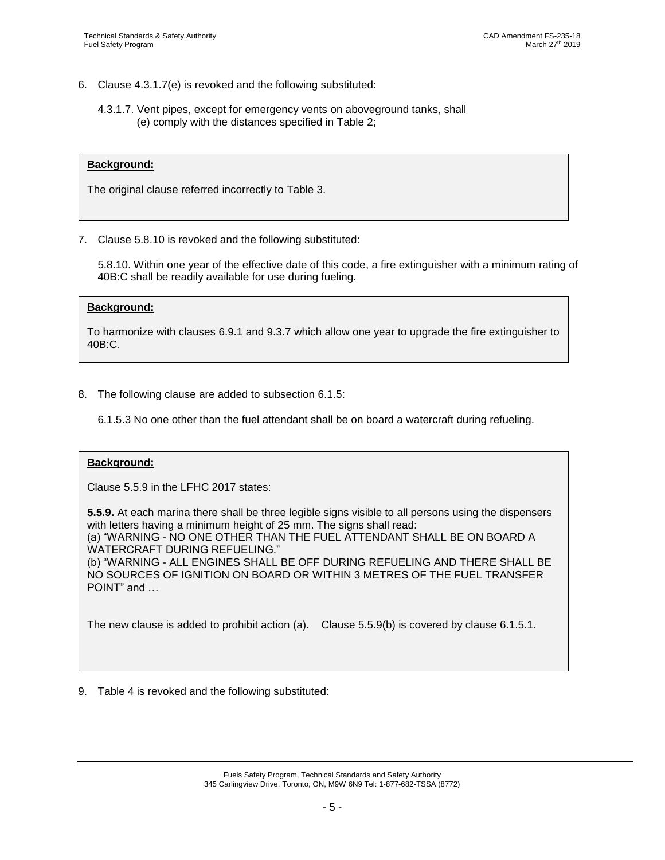- 6. Clause 4.3.1.7(e) is revoked and the following substituted:
	- 4.3.1.7. Vent pipes, except for emergency vents on aboveground tanks, shall (e) comply with the distances specified in Table 2;

#### **Background:**

The original clause referred incorrectly to Table 3.

7. Clause 5.8.10 is revoked and the following substituted:

5.8.10. Within one year of the effective date of this code, a fire extinguisher with a minimum rating of 40B:C shall be readily available for use during fueling.

#### **Background:**

To harmonize with clauses 6.9.1 and 9.3.7 which allow one year to upgrade the fire extinguisher to 40B:C.

8. The following clause are added to subsection 6.1.5:

6.1.5.3 No one other than the fuel attendant shall be on board a watercraft during refueling.

#### **Background:**

Clause 5.5.9 in the LFHC 2017 states:

**5.5.9.** At each marina there shall be three legible signs visible to all persons using the dispensers with letters having a minimum height of 25 mm. The signs shall read: (a) "WARNING - NO ONE OTHER THAN THE FUEL ATTENDANT SHALL BE ON BOARD A WATERCRAFT DURING REFUELING." (b) "WARNING - ALL ENGINES SHALL BE OFF DURING REFUELING AND THERE SHALL BE NO SOURCES OF IGNITION ON BOARD OR WITHIN 3 METRES OF THE FUEL TRANSFER POINT" and …

The new clause is added to prohibit action (a). Clause 5.5.9(b) is covered by clause 6.1.5.1.

9. Table 4 is revoked and the following substituted: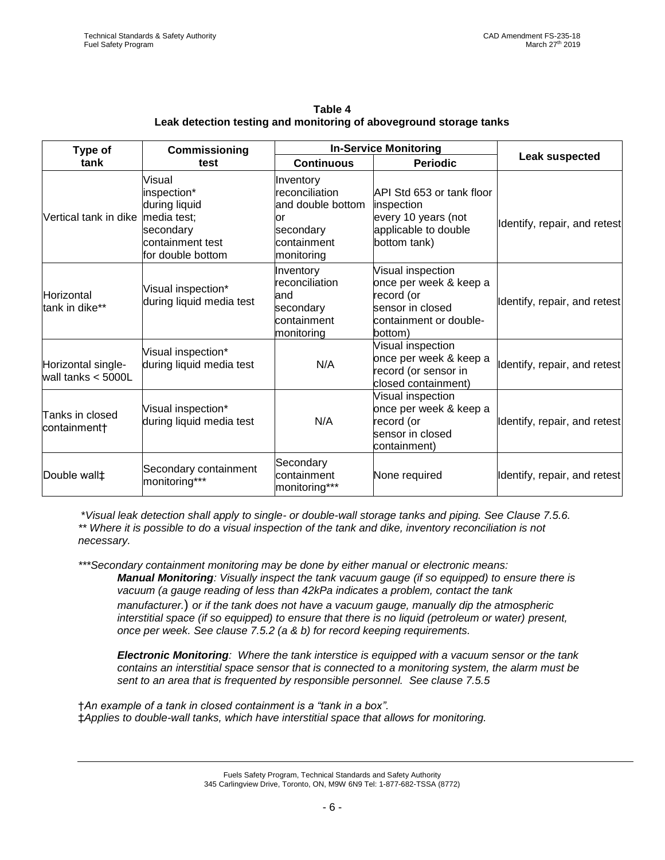| Type of<br>tank                             | Commissioning<br>test                                                                                       | <b>In-Service Monitoring</b>                                                                      |                                                                                                                    |                              |
|---------------------------------------------|-------------------------------------------------------------------------------------------------------------|---------------------------------------------------------------------------------------------------|--------------------------------------------------------------------------------------------------------------------|------------------------------|
|                                             |                                                                                                             | <b>Continuous</b>                                                                                 | <b>Periodic</b>                                                                                                    | Leak suspected               |
| Vertical tank in dike                       | Visual<br>inspection*<br>during liquid<br>media test;<br>secondary<br>containment test<br>for double bottom | Inventory<br>reconciliation<br>and double bottom<br>lor<br>secondary<br>containment<br>monitoring | API Std 653 or tank floor<br>inspection<br>every 10 years (not<br>applicable to double<br>bottom tank)             | Identify, repair, and retest |
| Horizontal<br>tank in dike**                | Visual inspection*<br>during liquid media test                                                              | Inventory<br>reconciliation<br>and<br>secondary<br>containment<br>monitoring                      | Visual inspection<br>once per week & keep a<br>record (or<br>sensor in closed<br>containment or double-<br>bottom) | Identify, repair, and retest |
| Horizontal single-<br>wall tanks $< 5000$ L | Visual inspection*<br>during liquid media test                                                              | N/A                                                                                               | Visual inspection<br>once per week & keep a<br>record (or sensor in<br>closed containment)                         | Identify, repair, and retest |
| Tanks in closed<br>containment†             | Visual inspection*<br>during liquid media test                                                              | N/A                                                                                               | Visual inspection<br>once per week & keep a<br>record (or<br>sensor in closed<br>containment)                      | Identify, repair, and retest |
| Double wall <sup>+</sup>                    | Secondary containment<br>monitoring***                                                                      | Secondary<br>containment<br>monitoring***                                                         | None required                                                                                                      | Identify, repair, and retest |

**Table 4 Leak detection testing and monitoring of aboveground storage tanks**

\**Visual leak detection shall apply to single- or double-wall storage tanks and piping. See Clause 7.5.6. \*\* Where it is possible to do a visual inspection of the tank and dike, inventory reconciliation is not* 

*necessary.*

*Electronic Monitoring: Where the tank interstice is equipped with a vacuum sensor or the tank contains an interstitial space sensor that is connected to a monitoring system, the alarm must be sent to an area that is frequented by responsible personnel. See clause 7.5.5*

†*An example of a tank in closed containment is a "tank in a box".* ‡*Applies to double-wall tanks, which have interstitial space that allows for monitoring.*

*<sup>\*\*\*</sup>Secondary containment monitoring may be done by either manual or electronic means: Manual Monitoring: Visually inspect the tank vacuum gauge (if so equipped) to ensure there is vacuum (a gauge reading of less than 42kPa indicates a problem, contact the tank manufacturer.*) *or if the tank does not have a vacuum gauge, manually dip the atmospheric interstitial space (if so equipped) to ensure that there is no liquid (petroleum or water) present, once per week. See clause 7.5.2 (a & b) for record keeping requirements.*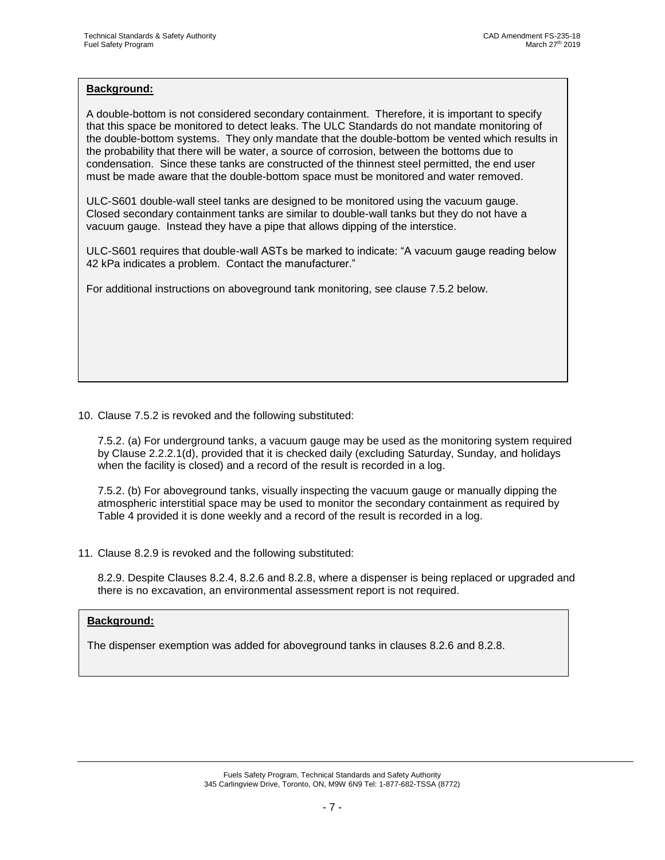### **Background:**

A double-bottom is not considered secondary containment. Therefore, it is important to specify that this space be monitored to detect leaks. The ULC Standards do not mandate monitoring of the double-bottom systems. They only mandate that the double-bottom be vented which results in the probability that there will be water, a source of corrosion, between the bottoms due to condensation. Since these tanks are constructed of the thinnest steel permitted, the end user must be made aware that the double-bottom space must be monitored and water removed.

ULC-S601 double-wall steel tanks are designed to be monitored using the vacuum gauge. Closed secondary containment tanks are similar to double-wall tanks but they do not have a vacuum gauge. Instead they have a pipe that allows dipping of the interstice.

ULC-S601 requires that double-wall ASTs be marked to indicate: "A vacuum gauge reading below 42 kPa indicates a problem. Contact the manufacturer."

For additional instructions on aboveground tank monitoring, see clause 7.5.2 below.

# 10. Clause 7.5.2 is revoked and the following substituted:

7.5.2. (a) For underground tanks, a vacuum gauge may be used as the monitoring system required by Clause 2.2.2.1(d), provided that it is checked daily (excluding Saturday, Sunday, and holidays when the facility is closed) and a record of the result is recorded in a log.

7.5.2. (b) For aboveground tanks, visually inspecting the vacuum gauge or manually dipping the atmospheric interstitial space may be used to monitor the secondary containment as required by Table 4 provided it is done weekly and a record of the result is recorded in a log.

11. Clause 8.2.9 is revoked and the following substituted:

8.2.9. Despite Clauses 8.2.4, 8.2.6 and 8.2.8, where a dispenser is being replaced or upgraded and there is no excavation, an environmental assessment report is not required.

# **Background:**

The dispenser exemption was added for aboveground tanks in clauses 8.2.6 and 8.2.8.